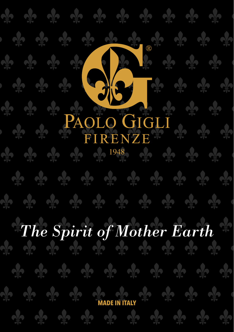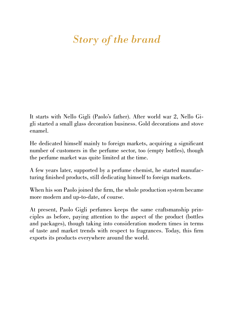# *Story of the brand*

It starts with Nello Gigli (Paolo's father). After world war 2, Nello Gigli started a small glass decoration business. Gold decorations and stove enamel.

He dedicated himself mainly to foreign markets, acquiring a significant number of customers in the perfume sector, too (empty bottles), though the perfume market was quite limited at the time.

A few years later, supported by a perfume chemist, he started manufacturing finished products, still dedicating himself to foreign markets.

When his son Paolo joined the firm, the whole production system became more modern and up-to-date, of course.

At present, Paolo Gigli perfumes keeps the same craftsmanship principles as before, paying attention to the aspect of the product (bottles and packages), though taking into consideration modern times in terms of taste and market trends with respect to fragrances. Today, this firm exports its products everywhere around the world.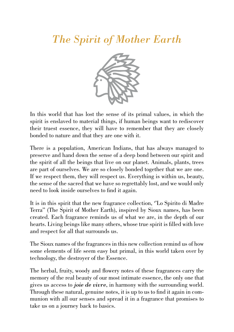# *The Spirit of Mother Earth*



In this world that has lost the sense of its primal values, in which the spirit is enslaved to material things, if human beings want to rediscover their truest essence, they will have to remember that they are closely bonded to nature and that they are one with it.

There is a population, American Indians, that has always managed to preserve and hand down the sense of a deep bond between our spirit and the spirit of all the beings that live on our planet. Animals, plants, trees are part of ourselves. We are so closely bonded together that we are one. If we respect them, they will respect us. Everything is within us, beauty, the sense of the sacred that we have so regrettably lost, and we would only need to look inside ourselves to find it again.

It is in this spirit that the new fragrance collection, ''Lo Spirito di Madre Terra'' (The Spirit of Mother Earth), inspired by Sioux names, has been created. Each fragrance reminds us of what we are, in the depth of our hearts. Living beings like many others, whose true spirit is filled with love and respect for all that surrounds us.

The Sioux names of the fragrances in this new collection remind us of how some elements of life seem easy but primal, in this world taken over by technology, the destroyer of the Essence.

The herbal, fruity, woody and flowery notes of these fragrances carry the memory of the real beauty of our most intimate essence, the only one that gives us access to *joie de vivre*, in harmony with the surrounding world. Through these natural, genuine notes, it is up to us to find it again in communion with all our senses and spread it in a fragrance that promises to take us on a journey back to basics.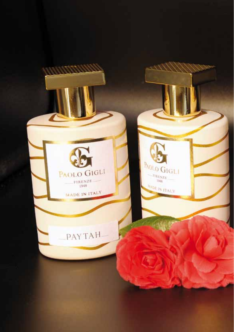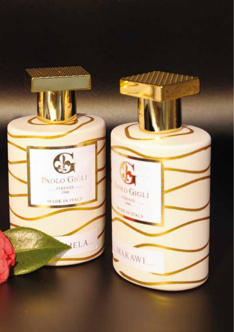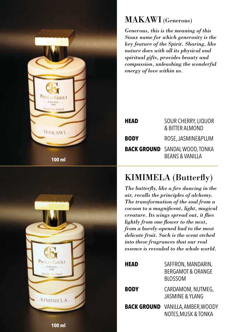



*Generous, this is the meaning of this Sioux name for which generosity is the key feature of the Spirit. Sharing, like nature does with all its physical and spiritual gifts, provides beauty and compassion, unleashing the wonderful energy of love within us.* 

| HEAD        | SOUR CHERRY, LIQUOR<br>& BITTER ALMOND                              |
|-------------|---------------------------------------------------------------------|
| <b>BODY</b> | ROSE, JASMINE&PLUM                                                  |
|             | <b>BACK GROUND</b> SANDAL WOOD, TONKA<br><b>BEANS &amp; VANILLA</b> |



## KIMIMELA (Butterfly)

*The butterfly, like a fire dancing in the air, recalls the principles of alchemy. The transformation of the soul from a cocoon to a magnificent, light, magical creature. Its wings spread out, it flies lightly from one flower to the next, from a barely-opened bud to the most delicate fruit. Such is the scent etched into these fragrances that our real essence is revealed to the whole world.*

| <b>HEAD</b> | SAFFRON, MANDARIN,<br><b>BERGAMOT &amp; ORANGE</b><br><b>BLOSSOM</b> |
|-------------|----------------------------------------------------------------------|
| <b>BODY</b> | CARDAMOM, NUTMEG,<br><b>JASMINE &amp; YLANG</b>                      |
|             | <b>BACK GROUND</b> VANILLA, AMBER, WOODY<br>NOTES, MUSK & TONKA      |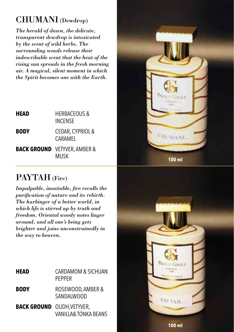## CHUMANI (Dewdrop)

*The herald of dawn, the delicate, transparent dewdrop is intoxicated by the scent of wild herbs. The surrounding woods release their indescribable scent that the heat of the rising sun spreads in the fresh morning air. A magical, silent moment in which the Spirit becomes one with the Earth.*

| <b>HEAD</b> | <b>HERBACEOUS &amp;</b><br>INCENSE          |
|-------------|---------------------------------------------|
| <b>BODY</b> | CEDAR, CYPRIOL &<br>CARAMFI                 |
|             | <b>BACK GROUND</b> VETYVER, AMBER &<br>MUSK |



### PAYTAH (Fire)

*Impalpable, insatiable, fire recalls the purification of nature and its rebirth. The harbinger of a better world, in which life is stirred up by truth and freedom. Oriental woody notes linger around, and all one's being gets brighter and joins unconstrainedly in the way to heaven.* 

| <b>HEAD</b>                       | CARDAMOM & SICHUAN<br><b>PFPPFR</b> |
|-----------------------------------|-------------------------------------|
| <b>BODY</b>                       | ROSEWOOD, AMBER &<br>SANDALWOOD     |
| <b>BACK GROUND OUDH, VETYVER,</b> | VANILLA& TONKA BEANS                |

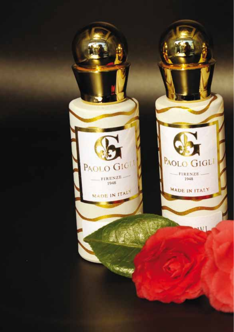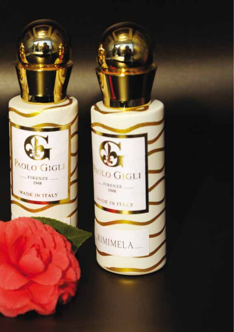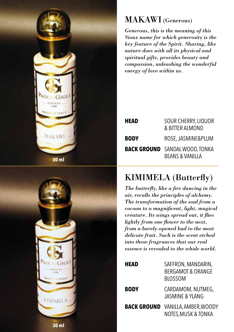



*Generous, this is the meaning of this Sioux name for which generosity is the key feature of the Spirit. Sharing, like nature does with all its physical and spiritual gifts, provides beauty and compassion, unleashing the wonderful energy of love within us.* 

| <b>HEAD</b> | SOUR CHERRY, LIQUOR<br>& BITTER ALMOND                              |
|-------------|---------------------------------------------------------------------|
| <b>BODY</b> | ROSE, JASMINE&PLUM                                                  |
|             | <b>BACK GROUND</b> SANDAL WOOD, TONKA<br><b>BEANS &amp; VANILLA</b> |



### KIMIMELA (Butterfly)

*The butterfly, like a fire dancing in the air, recalls the principles of alchemy. The transformation of the soul from a cocoon to a magnificent, light, magical creature. Its wings spread out, it flies lightly from one flower to the next, from a barely-opened bud to the most delicate fruit. Such is the scent etched into these fragrances that our real essence is revealed to the whole world.*

| <b>HEAD</b> | SAFFRON, MANDARIN,<br><b>BERGAMOT &amp; ORANGE</b><br>BLOSSOM   |
|-------------|-----------------------------------------------------------------|
| <b>BODY</b> | CARDAMOM, NUTMEG,<br><b>JASMINE &amp; YLANG</b>                 |
|             | <b>BACK GROUND VANILLA, AMBER, WOODY</b><br>NOTES, MUSK & TONKA |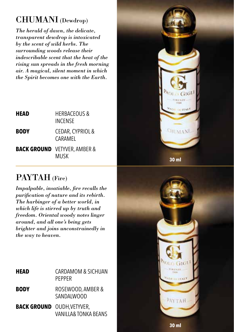## CHUMANI (Dewdrop)

*The herald of dawn, the delicate, transparent dewdrop is intoxicated by the scent of wild herbs. The surrounding woods release their indescribable scent that the heat of the rising sun spreads in the fresh morning air. A magical, silent moment in which the Spirit becomes one with the Earth.*

| <b>HEAD</b> | <b>HERBACEOUS &amp;</b><br>INCENSE          |
|-------------|---------------------------------------------|
| <b>BODY</b> | CEDAR, CYPRIOL &<br>CARAMFI                 |
|             | <b>BACK GROUND</b> VETYVER, AMBER &<br>MUSK |



### PAYTAH (Fire)

*Impalpable, insatiable, fire recalls the purification of nature and its rebirth. The harbinger of a better world, in which life is stirred up by truth and freedom. Oriental woody notes linger around, and all one's being gets brighter and joins unconstrainedly in the way to heaven.* 

| <b>HEAD</b>                       | CARDAMOM & SICHUAN<br>PFPPFR    |
|-----------------------------------|---------------------------------|
| <b>BODY</b>                       | ROSEWOOD, AMBER &<br>SANDALWOOD |
| <b>BACK GROUND OUDH, VETYVER,</b> | <b>VANILLA&amp; TONKA BEANS</b> |